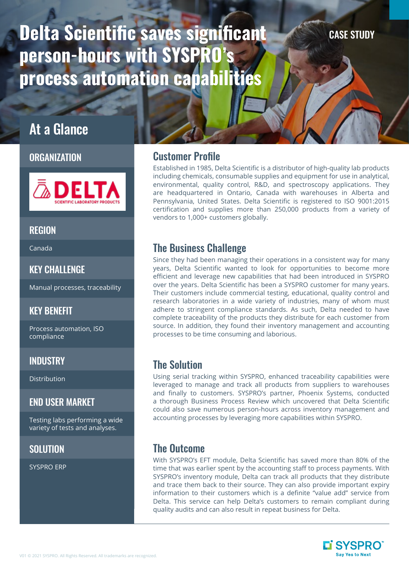# Delta Scientific saves significant person-hours with SYSPRO's process automation capabilities

#### CASE STUDY

# At a Glance

#### **ORGANIZATION**



#### **REGION**

Canada

#### KEY CHALLENGE

Manual processes, traceability

#### KEY BENEFIT

Process automation, ISO compliance

#### **INDUSTRY**

Distribution

#### END USER MARKET

Testing labs performing a wide variety of tests and analyses.

# **SOLUTION**

SYSPRO ERP

# Customer Profile

Established in 1985, Delta Scientific is a distributor of high-quality lab products including chemicals, consumable supplies and equipment for use in analytical, environmental, quality control, R&D, and spectroscopy applications. They are headquartered in Ontario, Canada with warehouses in Alberta and Pennsylvania, United States. Delta Scientific is registered to ISO 9001:2015 certification and supplies more than 250,000 products from a variety of vendors to 1,000+ customers globally.

# The Business Challenge

Since they had been managing their operations in a consistent way for many years, Delta Scientific wanted to look for opportunities to become more efficient and leverage new capabilities that had been introduced in SYSPRO over the years. Delta Scientific has been a SYSPRO customer for many years. Their customers include commercial testing, educational, quality control and research laboratories in a wide variety of industries, many of whom must adhere to stringent compliance standards. As such, Delta needed to have complete traceability of the products they distribute for each customer from source. In addition, they found their inventory management and accounting processes to be time consuming and laborious.

# The Solution

Using serial tracking within SYSPRO, enhanced traceability capabilities were leveraged to manage and track all products from suppliers to warehouses and finally to customers. SYSPRO's partner, Phoenix Systems, conducted a thorough Business Process Review which uncovered that Delta Scientific could also save numerous person-hours across inventory management and accounting processes by leveraging more capabilities within SYSPRO.

# The Outcome

With SYSPRO's EFT module, Delta Scientific has saved more than 80% of the time that was earlier spent by the accounting staff to process payments. With SYSPRO's inventory module, Delta can track all products that they distribute and trace them back to their source. They can also provide important expiry information to their customers which is a definite "value add" service from Delta. This service can help Delta's customers to remain compliant during quality audits and can also result in repeat business for Delta.

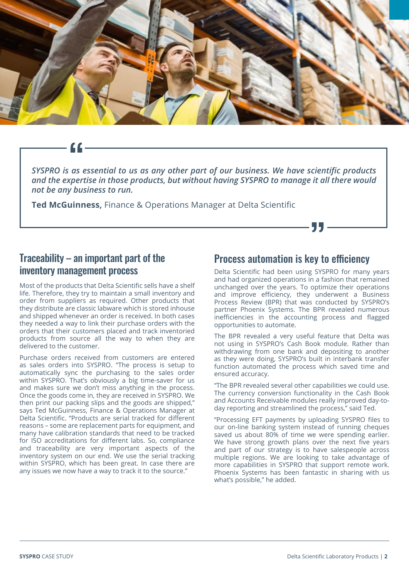

*SYSPRO is as essential to us as any other part of our business. We have scientific products and the expertise in those products, but without having SYSPRO to manage it all there would not be any business to run.*

**Ted McGuinness,** Finance & Operations Manager at Delta Scientific

# Traceability – an important part of the inventory management process

Most of the products that Delta Scientific sells have a shelf life. Therefore, they try to maintain a small inventory and order from suppliers as required. Other products that they distribute are classic labware which is stored inhouse and shipped whenever an order is received. In both cases they needed a way to link their purchase orders with the orders that their customers placed and track inventoried products from source all the way to when they are delivered to the customer.

Purchase orders received from customers are entered as sales orders into SYSPRO. "The process is setup to automatically sync the purchasing to the sales order within SYSPRO. That's obviously a big time-saver for us and makes sure we don't miss anything in the process. Once the goods come in, they are received in SYSPRO. We then print our packing slips and the goods are shipped," says Ted McGuinness, Finance & Operations Manager at Delta Scientific. "Products are serial tracked for different reasons – some are replacement parts for equipment, and many have calibration standards that need to be tracked for ISO accreditations for different labs. So, compliance and traceability are very important aspects of the inventory system on our end. We use the serial tracking within SYSPRO, which has been great. In case there are any issues we now have a way to track it to the source."

### Process automation is key to efficiency

Delta Scientific had been using SYSPRO for many years and had organized operations in a fashion that remained unchanged over the years. To optimize their operations and improve efficiency, they underwent a Business Process Review (BPR) that was conducted by SYSPRO's partner Phoenix Systems. The BPR revealed numerous inefficiencies in the accounting process and flagged opportunities to automate.

77 –

The BPR revealed a very useful feature that Delta was not using in SYSPRO's Cash Book module. Rather than withdrawing from one bank and depositing to another as they were doing, SYSPRO's built in interbank transfer function automated the process which saved time and ensured accuracy.

"The BPR revealed several other capabilities we could use. The currency conversion functionality in the Cash Book and Accounts Receivable modules really improved day-today reporting and streamlined the process," said Ted.

"Processing EFT payments by uploading SYSPRO files to our on-line banking system instead of running cheques saved us about 80% of time we were spending earlier. We have strong growth plans over the next five years and part of our strategy is to have salespeople across multiple regions. We are looking to take advantage of more capabilities in SYSPRO that support remote work. Phoenix Systems has been fantastic in sharing with us what's possible," he added.